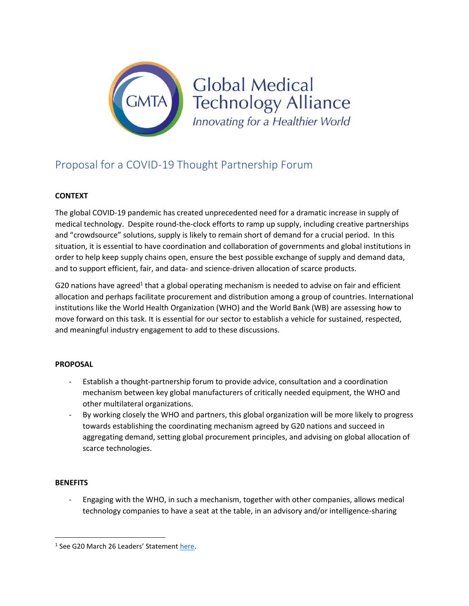

# Proposal for a COVID-19 Thought Partnership Forum

# **CONTEXT**

The global COVID-19 pandemic has created unprecedented need for a dramatic increase in supply of medical technology. Despite round-the-clock efforts to ramp up supply, including creative partnerships and "crowdsource" solutions, supply is likely to remain short of demand for a crucial period. In this situation, it is essential to have coordination and collaboration of governments and global institutions in order to help keep supply chains open, ensure the best possible exchange of supply and demand data, and to support efficient, fair, and data- and science-driven allocation of scarce products.

G20 nations have agreed<sup>1</sup> that a global operating mechanism is needed to advise on fair and efficient allocation and perhaps facilitate procurement and distribution among a group of countries. International institutions like the World Health Organization (WHO) and the World Bank (WB) are assessing how to move forward on this task. It is essential for our sector to establish a vehicle for sustained, respected, and meaningful industry engagement to add to these discussions.

### **PROPOSAL**

- Establish a thought-partnership forum to provide advice, consultation and a coordination mechanism between key global manufacturers of critically needed equipment, the WHO and other multilateral organizations.
- By working closely the WHO and partners, this global organization will be more likely to progress towards establishing the coordinating mechanism agreed by G20 nations and succeed in aggregating demand, setting global procurement principles, and advising on global allocation of scarce technologies.

#### **BENEFITS**

- Engaging with the WHO, in such a mechanism, together with other companies, allows medical technology companies to have a seat at the table, in an advisory and/or intelligence-sharing

<sup>&</sup>lt;sup>1</sup> See G20 March 26 Leaders' Statement [here.](https://g20.org/en/media/Documents/G20_Extraordinary%20G20%20Leaders%E2%80%99%20Summit_Statement_EN%20(3).pdf)